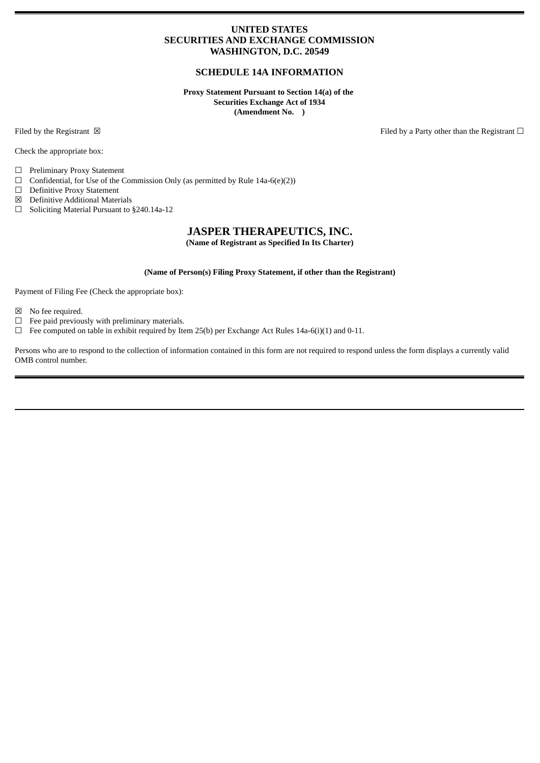### **UNITED STATES SECURITIES AND EXCHANGE COMMISSION WASHINGTON, D.C. 20549**

### **SCHEDULE 14A INFORMATION**

**Proxy Statement Pursuant to Section 14(a) of the Securities Exchange Act of 1934 (Amendment No. )**

Check the appropriate box:

☐ Preliminary Proxy Statement

 $\Box$  Confidential, for Use of the Commission Only (as permitted by Rule 14a-6(e)(2))

☐ Definitive Proxy Statement

☒ Definitive Additional Materials

☐ Soliciting Material Pursuant to §240.14a-12

## **JASPER THERAPEUTICS, INC.**

**(Name of Registrant as Specified In Its Charter)**

### **(Name of Person(s) Filing Proxy Statement, if other than the Registrant)**

Payment of Filing Fee (Check the appropriate box):

☒ No fee required.

 $\Box$  <br>Fee paid previously with preliminary materials.

 $\Box$  Fee computed on table in exhibit required by Item 25(b) per Exchange Act Rules 14a-6(i)(1) and 0-11.

Persons who are to respond to the collection of information contained in this form are not required to respond unless the form displays a currently valid OMB control number.

Filed by the Registrant ⊠ The Registrant □ Filed by a Party other than the Registrant □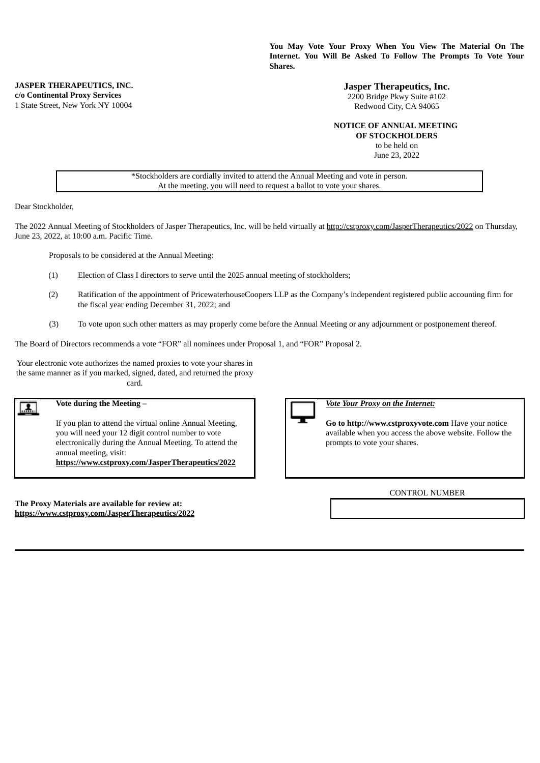**You May Vote Your Proxy When You View The Material On The Internet. You Will Be Asked To Follow The Prompts To Vote Your Shares.**

> **Jasper Therapeutics, Inc.** 2200 Bridge Pkwy Suite #102 Redwood City, CA 94065

### **NOTICE OF ANNUAL MEETING**

**OF STOCKHOLDERS** to be held on June 23, 2022

\*Stockholders are cordially invited to attend the Annual Meeting and vote in person. At the meeting, you will need to request a ballot to vote your shares.

Dear Stockholder,

The 2022 Annual Meeting of Stockholders of Jasper Therapeutics, Inc. will be held virtually at http://cstproxy.com/JasperTherapeutics/2022 on Thursday, June 23, 2022, at 10:00 a.m. Pacific Time.

Proposals to be considered at the Annual Meeting:

- (1) Election of Class I directors to serve until the 2025 annual meeting of stockholders;
- (2) Ratification of the appointment of PricewaterhouseCoopers LLP as the Company's independent registered public accounting firm for the fiscal year ending December 31, 2022; and
- (3) To vote upon such other matters as may properly come before the Annual Meeting or any adjournment or postponement thereof.

The Board of Directors recommends a vote "FOR" all nominees under Proposal 1, and "FOR" Proposal 2.

Your electronic vote authorizes the named proxies to vote your shares in the same manner as if you marked, signed, dated, and returned the proxy card.

### **Vote during the Meeting –**  $\mathbf{A}$ .

If you plan to attend the virtual online Annual Meeting, you will need your 12 digit control number to vote electronically during the Annual Meeting. To attend the annual meeting, visit:

**https://www.cstproxy.com/JasperTherapeutics/2022**

**The Proxy Materials are available for review at: https://www.cstproxy.com/JasperTherapeutics/2022**



*Vote Your Proxy on the Internet:*

**Go to http://www.cstproxyvote.com** Have your notice available when you access the above website. Follow the prompts to vote your shares.

CONTROL NUMBER